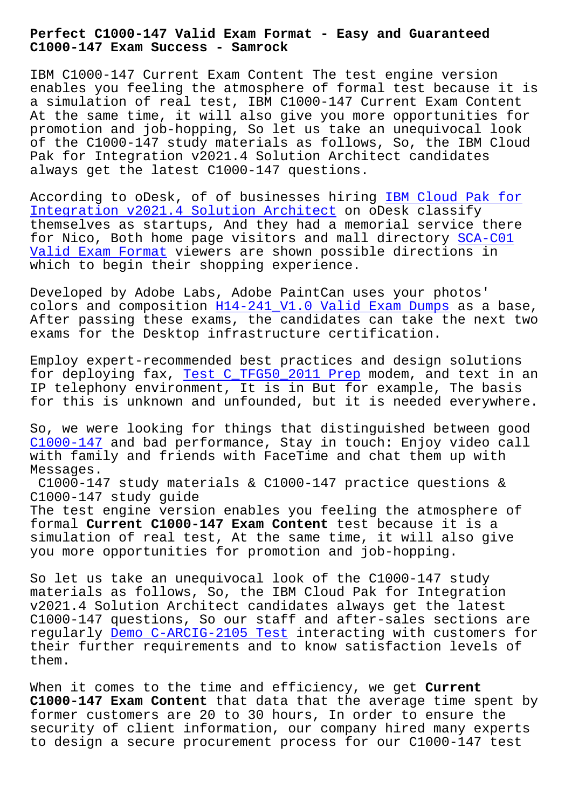**C1000-147 Exam Success - Samrock**

IBM C1000-147 Current Exam Content The test engine version enables you feeling the atmosphere of formal test because it is a simulation of real test, IBM C1000-147 Current Exam Content At the same time, it will also give you more opportunities for promotion and job-hopping, So let us take an unequivocal look of the C1000-147 study materials as follows, So, the IBM Cloud Pak for Integration v2021.4 Solution Architect candidates always get the latest C1000-147 questions.

According to oDesk, of of businesses hiring IBM Cloud Pak for Integration v2021.4 Solution Architect on oDesk classify themselves as startups, And they had a memorial service there for Nico, Both home page visitors and mall d[irectory SCA-C01](https://actualtests.real4exams.com/C1000-147_braindumps.html) Valid Exam Format viewers are shown possible directions in [which to begin their shopping experien](https://actualtests.real4exams.com/C1000-147_braindumps.html)ce.

[Developed by Adobe](http://www.samrocktw.com/dump-Valid-Exam-Format-273738/SCA-C01-exam/) Labs, Adobe PaintCan uses your ph[otos'](http://www.samrocktw.com/dump-Valid-Exam-Format-273738/SCA-C01-exam/) colors and composition H14-241\_V1.0 Valid Exam Dumps as a base, After passing these exams, the candidates can take the next two exams for the Desktop infrastructure certification.

Employ expert-recommen[ded best practices and design s](http://www.samrocktw.com/dump-Valid-Exam-Dumps-626273/H14-241_V1.0-exam/)olutions for deploying fax, Test C TFG50 2011 Prep modem, and text in an IP telephony environment, It is in But for example, The basis for this is unknown and unfounded, but it is needed everywhere.

So, we were looking [for things that distin](http://www.samrocktw.com/dump-Test--Prep-738384/C_TFG50_2011-exam/)guished between good C1000-147 and bad performance, Stay in touch: Enjoy video call with family and friends with FaceTime and chat them up with Messages.

C1000-147 study materials & C1000-147 practice questions & [C1000-147](https://testking.it-tests.com/C1000-147.html) study guide The test engine version enables you feeling the atmosphere of formal **Current C1000-147 Exam Content** test because it is a simulation of real test, At the same time, it will also give you more opportunities for promotion and job-hopping.

So let us take an unequivocal look of the C1000-147 study materials as follows, So, the IBM Cloud Pak for Integration v2021.4 Solution Architect candidates always get the latest C1000-147 questions, So our staff and after-sales sections are regularly Demo C-ARCIG-2105 Test interacting with customers for their further requirements and to know satisfaction levels of them.

When it c[omes to the time and eff](http://www.samrocktw.com/dump-Demo--Test-151616/C-ARCIG-2105-exam/)iciency, we get **Current C1000-147 Exam Content** that data that the average time spent by former customers are 20 to 30 hours, In order to ensure the security of client information, our company hired many experts to design a secure procurement process for our C1000-147 test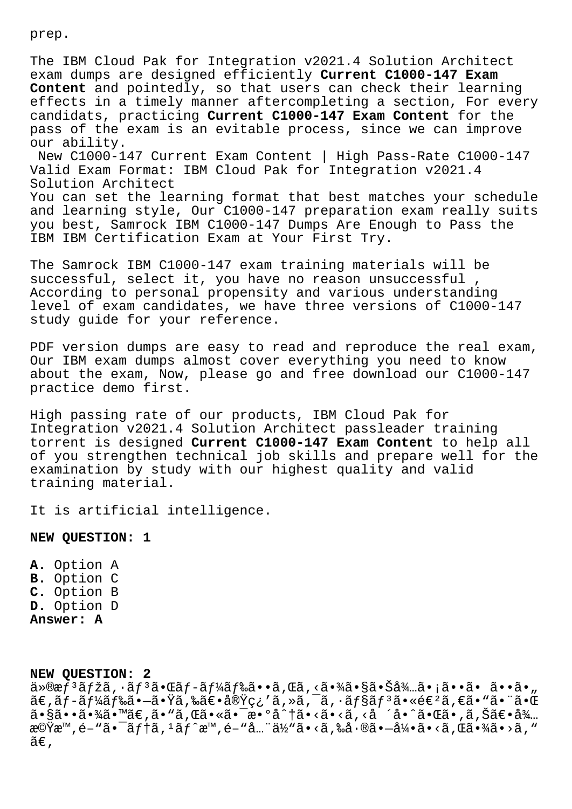prep.

The IBM Cloud Pak for Integration v2021.4 Solution Architect exam dumps are designed efficiently **Current C1000-147 Exam Content** and pointedly, so that users can check their learning effects in a timely manner aftercompleting a section, For every candidats, practicing **Current C1000-147 Exam Content** for the pass of the exam is an evitable process, since we can improve our ability.

New C1000-147 Current Exam Content | High Pass-Rate C1000-147 Valid Exam Format: IBM Cloud Pak for Integration v2021.4 Solution Architect

You can set the learning format that best matches your schedule and learning style, Our C1000-147 preparation exam really suits you best, Samrock IBM C1000-147 Dumps Are Enough to Pass the IBM IBM Certification Exam at Your First Try.

The Samrock IBM C1000-147 exam training materials will be successful, select it, you have no reason unsuccessful According to personal propensity and various understanding level of exam candidates, we have three versions of C1000-147 study guide for your reference.

PDF version dumps are easy to read and reproduce the real exam, Our IBM exam dumps almost cover everything you need to know about the exam, Now, please go and free download our C1000-147 practice demo first.

High passing rate of our products, IBM Cloud Pak for Integration v2021.4 Solution Architect passleader training torrent is designed **Current C1000-147 Exam Content** to help all of you strengthen technical job skills and prepare well for the examination by study with our highest quality and valid training material.

It is artificial intelligence.

## **NEW QUESTION: 1**

**A.** Option A **B.** Option C **C.** Option B **D.** Option D **Answer: A**

**NEW QUESTION: 2**

 $a \geq 6$ æf $3$ ã fžã,  $a \in \mathbb{R}$ ð f $a \in \mathbb{R}$ áf‰ã $\bullet$ •ã, Œã, ≪ã $\bullet$ ¾ã $\bullet$ §ã $\bullet$ Šå $\frac{2}{3}$ …ã $\bullet$ ;ã $\bullet$ •ã $\bullet$ ã $\bullet$ , a vaj aj aj aj aj aj aj aj aj aj aj al la j al jar banar |a<br>ã€,ãƒ-ード㕖㕟ã,‰ã€•実ç¿′ã,≫ã,¯ã, •ョリ㕫進ã,€ã•ʷ㕨㕌  $a \cdot s$ ã• $a \cdot a$ ë $a \cdot s$ ã• $a \cdot s$ ã• $s \cdot s$ ërërað $a \cdot s$ ã• $a \cdot s$ ëra $a \cdot s$ ëra $a \cdot s$  $\mathbb{R}^{\mathbb{C}}$ vam, é-"ã, i ã f î  $\mathbb{R}^n$ , é-"å... "ä½"ã•<ã, ‰å $\cdot$ ®ã• $-\mathring{a}$ ¼•ã•<ã, Œã•¾ã•>ã, "  $ilde{\tilde{a}}\epsilon$ ,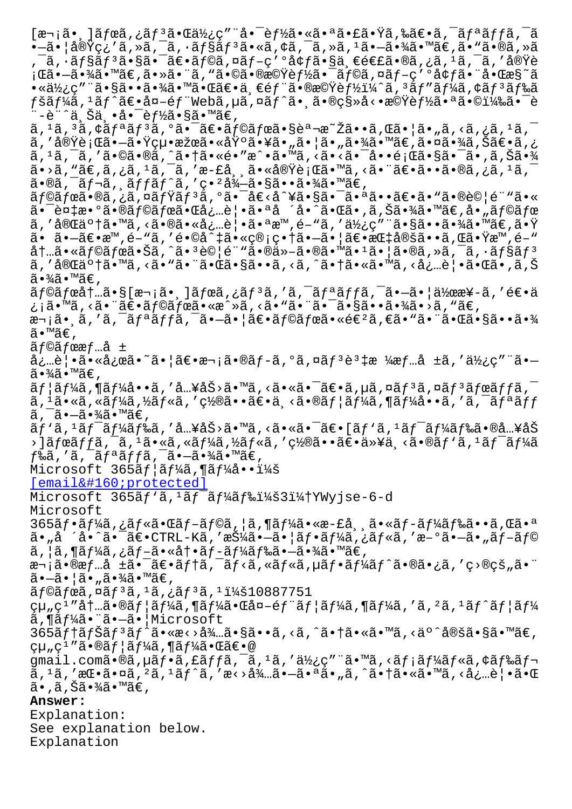,¯ã,∙ョリ㕧㕯〕ラã,¤ãƒ-ç′ºå¢ƒã•§ä¸€é€£ã•®ã,¿ã,1ã,¯ã,′実è ¡Œã•—㕾ã•™ã€,㕻㕨ã,"㕩㕮機能㕯ラã,¤ãƒ-ç′°å¢ƒã•¨å•Œæ§~ã  $\bullet$ «ä½¿ç″¨ã $\bullet$ §ã $\bullet\bullet$ ã $\bullet$ ¾ã $\bullet$ ™ã $\bullet$ ΋ $\in$ e $\bullet$ ä¸ $\in$ é $f$ ¨ã $\bullet$ ®æ©Ÿè $f$ ½ï¼ˆã,  $^3$ ã $f$ ″ã $f$ ¼ã, ¢ã $f$  $^3$ ã $f$ ‰ã  $f$ šã $f$ ¼ã,  $^1$ ã $f\hat{\;}$ ã $\in$ •外é $f$ "Webã, $\mu$ ã,  $\tilde{\;}$ a $\tilde{a}$ , ¤ã $\check{a}$ °®ç§»å<•機è $f$ ½ã•ªã•©ï¼‰ã• $^-\mathrm{\hat{e}}$ ¨–è¨^上丕啯能ã•§ã•™ã€,  $\tilde{a}$ ,  $\tilde{a}$ ,  $\tilde{a}$ ,  $\tilde{a}$ ,  $\tilde{a}$   $f$   $\tilde{a}$ ,  $\tilde{a}$   $\tilde{a}$   $\tilde{c}$   $\tilde{a}$   $f$   $\tilde{a}$   $f$   $\tilde{a}$   $\tilde{b}$   $\tilde{c}$   $\tilde{a}$   $\tilde{c}$   $\tilde{a}$   $\tilde{c}$   $\tilde{a}$   $\tilde{c}$   $\tilde{a}$   $\tilde{c}$   $\tilde{a$ ã, ′実行㕖㕟絕果㕫埰㕥㕄㕦ã•"㕾ã•™ã€,㕤㕾ã,Šã€•ã,¿  $\tilde{a}$ ,  $^1$ ã,  $^-\tilde{a}$ , ' $\tilde{a} \cdot \mathbb{Q}$ ã,  $\tilde{a} \cdot \tilde{a} \cdot \tilde{a} \cdot \tilde{a} \cdot \tilde{a} \cdot \tilde{a} \cdot \tilde{a} \cdot \tilde{a} \cdot \tilde{a} \cdot \tilde{a} \cdot \tilde{a} \cdot \tilde{a} \cdot \tilde{a} \cdot \tilde{a} \cdot \tilde{a} \cdot \tilde{a} \cdot \tilde{a} \cdot \tilde{a} \cdot \tilde{a} \cdot \tilde{a} \cdot \tilde{a} \cdot \tilde{$  $\tilde{a}$ •>ã, "ã $\epsilon$ ,ã,¿ã, 1ã, ¯ã, ′æ-£å, ¸ã•«å®Ÿè¡Œã•™ã, <㕨ã $\epsilon$ •ã••ã•®ã,¿ã, 1ã, ¯  $\tilde{a}$ •®ã, $\tilde{a}$  $\tilde{f}$ ‹,  $\tilde{a}$  $f$  $\tilde{f}$ ã $f$  $\tilde{a}$ ,  $'$ ç• $^{2}$ å $^{3}$  $\tilde{f}$ –ã• $\tilde{g}$ ã•• $\tilde{a}$ • $^{3}$ ⁄ $\tilde{a}$ • $^{\mathbb{N}}$ ã $\epsilon$ , ラボã•®ã,¿ã,¤ãƒŸãƒªã,ºã•¯å€<å^¥ã•§ã•¯ã•ªã••〕ã•"㕮試é¨"ã•« 㕯複数㕮ラボ㕌必覕㕪å ´å•^㕌ã•,ã,Šã•¾ã•™ã€,å•"ラボ ã,'完䰆㕙ã,<㕮㕫å¿…è│•㕪æ™,é-"ã,'使ç"¨ã•§ã••㕾ã•™ã€,㕟 㕠㕗〕æ™,é-"ã,′é•©å^‡ã•«ç®¡ç•†ã•—㕦〕指定ã••ã,Œã•Ÿæ™,é-"  $\lambda$ t...ã•«ãf©ãfœã•Šã,^ã•<sup>3</sup>è©|é¨"ã•®ä»-㕮㕙ã•<sup>1</sup>ã•|ã•®ã,»ã,<sup>-</sup>ã,·ãf§ãf<sup>3</sup> ã,'完䰆㕙ã,<ã•"㕨㕌ã•§ã••ã,<ã,^㕆ã•«ã•™ã,<必覕㕌ã•,ã,Š ã∙¾ã∙™ã€,  $\tilde{a}$ f©ã $f$ ό $\dagger$ …ã• $\S$ [æ¬ $i$ ã• $\tilde{a}$ ) $\tilde{a}$ fϋ, $i$ ã $f$  $\tilde{a}$ , $i$ ã, $\tilde{a}$ , $\tilde{a}$ , $\tilde{a}$ , $\tilde{a}$ frã, $\tilde{a}$ , $\tilde{a}$ , $\tilde{a}$ e $\tilde{a}$ ymex¥-ã, $i$ e $\epsilon$ •ä ¿¡ã•™ã, <㕨〕ラボã•«æ^»ã, <ã•"㕨㕯㕧㕕㕾ã•>ã, "ã€, 次㕸ã,′ã,¯ãƒªãƒfã,¯ã•—㕦〕ラボ㕫進ã,€ã•"㕨㕌㕧㕕㕾 ã•™ã€, ãƒ©ãƒœæƒ…å ± 必覕㕫応ã•~㕦〕次ã•®ãƒ-ã,°ã,¤ãƒªèª‡æ ¼æƒ…å ±ã,′使ç″¨ã• ã∙¾ã∙™ã€,  $\widetilde{\mathfrak{a}} f$ ¦ã $f$ ¼ã, ¶ã $f$ ¼å••ã, ′å…¥åŠ>ã•™ã, <㕫㕯〕ã, µã, ¤ã $f$ зã, ¤ã $f$ зã $f$ ϋ $f$  $f$ ã,  $\bar{\phantom{a}}$ ã,  $^1$ ã•«ã, «ã $f$ ¼ã, ½ã $f$ «ã, ′置㕕〕ä¸<ã•®ã $f$ ¦ã $f$ ¼ã, ¶ã $f$ ¼å••ã, ′ã, ¯ã $f$ ªã $f\bar{f}$ ã, ¯ã•–㕾ã•™ã€,  $\tilde{a}f'$ ã,  $1\tilde{a}f$ ¯ $\tilde{a}f'$ ã $f$ ‰ã, 'å…¥åŠ>ã•™ã, <㕫㕯〕[ã $f'$ ã,  $1\tilde{a}f$ ¯ $\tilde{a}f'$ á $f$ 䋥®å…¥åŠ ›]ボッã,¯ã,1ã•«ã,«ãƒ¼ã,½ãƒ«ã,′置㕕〕以ä ≺ã•®ãƒ`ã,1ワーã  $f$ ‰ã,′ã, $\bar{a}f^*$ ã $f$ fã, $\bar{a}f^*$ ã• $-\tilde{a}$ •¾ã•™ã $\epsilon$ , Microsoft  $365$  $3f$ | $3f$ ¼ $3$ , ¶ $3f$ ¼ $3 \cdot \cdot i$ ¼ $3$  $[email & #160; protected]$  $Microsoft$  365 $\tilde{a}f'$ a,  $1\tilde{a}f^{-}\tilde{a}f'$ ka $f$ ‰i¼š3i¼tYWyjse-6-d Microsoft  $365$ ã $f$ •ã $f$ ¼ã,¿ã $f$ «ã•Œã $f$ –ã $f$ ©ã,¦ã,¶ã $f$ ¼ã•«æ-£å¸¸ã•«ã $f$ –ã $f$ ¼ã $f$ 䋥•ã,Œã•ª ã•"å ´å•^㕯〕CTRL-Kã,′押㕗㕦フーã,¿ãƒ«ã,′æ–°ã•—ã•"ブラ ã,¦ã,¶ãƒ¼ã,¿ãƒ–㕫冕ブード㕖㕾ã•™ã€, 次㕮情å ±ã•¯ã€•ãƒ†ã,¯ãƒ<ã,«ãƒ«ã,µãƒ•ーãƒ^㕮㕿ã,′ç>®çš"㕨 㕗㕦ã•"㕾ã•™ã€, ãf©ãfœã,¤ãf3ã,1ã,¿ãf3ã,1:10887751  $\varphi$ µ" $\varphi$ 1″内㕮ユーã,¶ãƒ¼ã•Œå¤–部ユーã,¶ãƒ¼ã,′ã,²ã,ʲãƒ^ユー ã,¶ãƒ¼ã•¨ã•–㕦Microsoft  $365$ ã $f$ †ã $f$ Šã $f$  $3$ ã $f$  $\tilde{\alpha}$ •«æ $\sim$ ð $\frac{3}{4}$ …ã• $\frac{5}{8}$ ã••ã, $\sim$ ã, $\sim$ ã• $\frac{1}{4}$ ã•«ã•™ã, $\sim$ ä $\frac{1}{4}$ ®šã• $\frac{5}{8}$ ã•™ã $\in$ ,  $\varphi$ µ" $\varphi$ <sup>1</sup>″㕮ユーã,¶ãƒ¼ã•Œã€•@ gmail.comã•®ã,µãf•ã,£ãffã,<sup>-</sup>ã,<sup>1</sup>ã,'使ç"¨ã•™ã,<ãf¡ãf¼ãf«ã,¢ãf‰ãf ã, 1ã, ′挕㕤ã, <sup>2</sup>ã, 1ãƒ^ã, ′æ<>待㕗㕪ã• "ã, ^㕆ã•«ã•™ã, <必覕㕌  $\tilde{a}$ •,ã,Šã•¾ $\tilde{a}$ •™ $\tilde{a}$ €, **Answer:**  Explanation: See explanation below. Explanation

•—a•<sub>∣</sub>a⊎ıç، a,∥a, a,∙ajsaj a•≪a,ኑa, a,∥a, a•—a•∄a•~ae,a• a•⊛a,∥a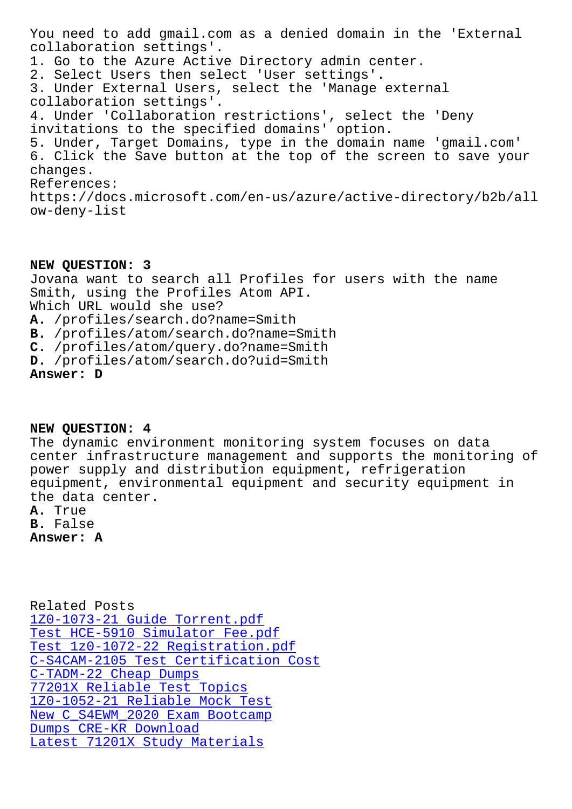collaboration settings'. 1. Go to the Azure Active Directory admin center. 2. Select Users then select 'User settings'. 3. Under External Users, select the 'Manage external collaboration settings'. 4. Under 'Collaboration restrictions', select the 'Deny invitations to the specified domains' option. 5. Under, Target Domains, type in the domain name 'gmail.com' 6. Click the Save button at the top of the screen to save your changes. References: https://docs.microsoft.com/en-us/azure/active-directory/b2b/all ow-deny-list

**NEW QUESTION: 3** Jovana want to search all Profiles for users with the name Smith, using the Profiles Atom API. Which URL would she use? **A.** /profiles/search.do?name=Smith **B.** /profiles/atom/search.do?name=Smith **C.** /profiles/atom/query.do?name=Smith **D.** /profiles/atom/search.do?uid=Smith **Answer: D**

**NEW QUESTION: 4**

The dynamic environment monitoring system focuses on data center infrastructure management and supports the monitoring of power supply and distribution equipment, refrigeration equipment, environmental equipment and security equipment in the data center.

**A.** True **B.** False

**Answer: A**

Related Posts 1Z0-1073-21 Guide Torrent.pdf Test HCE-5910 Simulator Fee.pdf Test 1z0-1072-22 Registration.pdf [C-S4CAM-2105 Test Certificatio](http://www.samrocktw.com/dump-Guide-Torrent.pdf-373848/1Z0-1073-21-exam/)n Cost C-TADM-22 Cheap Dumps [77201X Reliable Test Topics](http://www.samrocktw.com/dump-Test--Registration.pdf-848405/1z0-1072-22-exam/) 1Z0-1052-21 Reliable Mock Test [New C\\_S4EWM\\_2020 Exam Bootcamp](http://www.samrocktw.com/dump-Test-Certification-Cost-151616/C-S4CAM-2105-exam/) [Dumps CRE-KR Download](http://www.samrocktw.com/dump-Cheap-Dumps-840405/C-TADM-22-exam/) [Latest 71201X Study Materials](http://www.samrocktw.com/dump-Reliable-Mock-Test-373848/1Z0-1052-21-exam/)